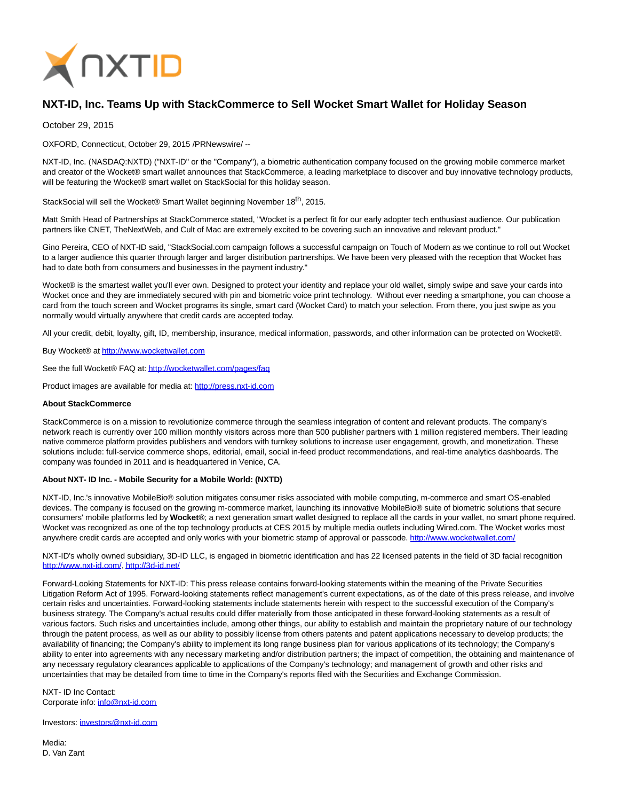

## **NXT-ID, Inc. Teams Up with StackCommerce to Sell Wocket Smart Wallet for Holiday Season**

October 29, 2015

OXFORD, Connecticut, October 29, 2015 /PRNewswire/ --

NXT-ID, Inc. (NASDAQ:NXTD) ("NXT-ID" or the "Company"), a biometric authentication company focused on the growing mobile commerce market and creator of the Wocket® smart wallet announces that StackCommerce, a leading marketplace to discover and buy innovative technology products, will be featuring the Wocket® smart wallet on StackSocial for this holiday season.

StackSocial will sell the Wocket® Smart Wallet beginning November 18<sup>th</sup>, 2015.

Matt Smith Head of Partnerships at StackCommerce stated, "Wocket is a perfect fit for our early adopter tech enthusiast audience. Our publication partners like CNET, TheNextWeb, and Cult of Mac are extremely excited to be covering such an innovative and relevant product."

Gino Pereira, CEO of NXT-ID said, "StackSocial.com campaign follows a successful campaign on Touch of Modern as we continue to roll out Wocket to a larger audience this quarter through larger and larger distribution partnerships. We have been very pleased with the reception that Wocket has had to date both from consumers and businesses in the payment industry."

Wocket® is the smartest wallet you'll ever own. Designed to protect your identity and replace your old wallet, simply swipe and save your cards into Wocket once and they are immediately secured with pin and biometric voice print technology. Without ever needing a smartphone, you can choose a card from the touch screen and Wocket programs its single, smart card (Wocket Card) to match your selection. From there, you just swipe as you normally would virtually anywhere that credit cards are accepted today.

All your credit, debit, loyalty, gift, ID, membership, insurance, medical information, passwords, and other information can be protected on Wocket®.

Buy Wocket® at [http://www.wocketwallet.com](http://www.wocketwallet.com/)

See the full Wocket® FAQ at:<http://wocketwallet.com/pages/faq>

Product images are available for media at: [http://press.nxt-id.com](http://press.nxt-id.com/)

## **About StackCommerce**

StackCommerce is on a mission to revolutionize commerce through the seamless integration of content and relevant products. The company's network reach is currently over 100 million monthly visitors across more than 500 publisher partners with 1 million registered members. Their leading native commerce platform provides publishers and vendors with turnkey solutions to increase user engagement, growth, and monetization. These solutions include: full-service commerce shops, editorial, email, social in-feed product recommendations, and real-time analytics dashboards. The company was founded in 2011 and is headquartered in Venice, CA.

## **About NXT- ID Inc. - Mobile Security for a Mobile World: (NXTD)**

NXT-ID, Inc.'s innovative MobileBio® solution mitigates consumer risks associated with mobile computing, m-commerce and smart OS-enabled devices. The company is focused on the growing m-commerce market, launching its innovative MobileBio® suite of biometric solutions that secure consumers' mobile platforms led by **Wocket®**; a next generation smart wallet designed to replace all the cards in your wallet, no smart phone required. Wocket was recognized as one of the top technology products at CES 2015 by multiple media outlets including Wired.com. The Wocket works most anywhere credit cards are accepted and only works with your biometric stamp of approval or passcode.<http://www.wocketwallet.com/>

NXT-ID's wholly owned subsidiary, 3D-ID LLC, is engaged in biometric identification and has 22 licensed patents in the field of 3D facial recognition [http://www.nxt-id.com/,](http://www.nxt-id.com/)<http://3d-id.net/>

Forward-Looking Statements for NXT-ID: This press release contains forward-looking statements within the meaning of the Private Securities Litigation Reform Act of 1995. Forward-looking statements reflect management's current expectations, as of the date of this press release, and involve certain risks and uncertainties. Forward-looking statements include statements herein with respect to the successful execution of the Company's business strategy. The Company's actual results could differ materially from those anticipated in these forward-looking statements as a result of various factors. Such risks and uncertainties include, among other things, our ability to establish and maintain the proprietary nature of our technology through the patent process, as well as our ability to possibly license from others patents and patent applications necessary to develop products; the availability of financing; the Company's ability to implement its long range business plan for various applications of its technology; the Company's ability to enter into agreements with any necessary marketing and/or distribution partners; the impact of competition, the obtaining and maintenance of any necessary regulatory clearances applicable to applications of the Company's technology; and management of growth and other risks and uncertainties that may be detailed from time to time in the Company's reports filed with the Securities and Exchange Commission.

NXT- ID Inc Contact: Corporate info: [info@nxt-id.com](mailto:info@nxt-id.com)

## Investors: [investors@nxt-id.com](mailto:investors@nxt-id.com)

Media: D. Van Zant